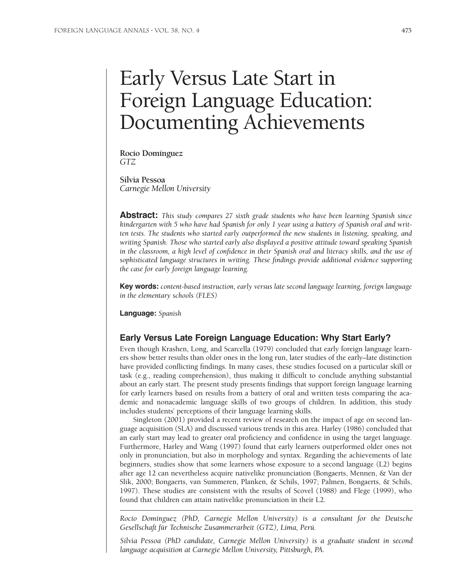# Early Versus Late Start in Foreign Language Education: Documenting Achievements

**Rocío Domínguez** *GTZ*

**Silvia Pessoa** *Carnegie Mellon University*

**Abstract:** *This study compares 27 sixth grade students who have been learning Spanish since kindergarten with 5 who have had Spanish for only 1 year using a battery of Spanish oral and written tests. The students who started early outperformed the new students in listening, speaking, and writing Spanish. Those who started early also displayed a positive attitude toward speaking Spanish in the classroom, a high level of confidence in their Spanish oral and literacy skills, and the use of sophisticated language structures in writing. These findings provide additional evidence supporting the case for early foreign language learning.*

**Key words:** *content-based instruction, early versus late second language learning, foreign language in the elementary schools (FLES)*

**Language:** *Spanish*

# **Early Versus Late Foreign Language Education: Why Start Early?**

Even though Krashen, Long, and Scarcella (1979) concluded that early foreign language learners show better results than older ones in the long run, later studies of the early–late distinction have provided conflicting findings. In many cases, these studies focused on a particular skill or task (e.g., reading comprehension), thus making it difficult to conclude anything substantial about an early start. The present study presents findings that support foreign language learning for early learners based on results from a battery of oral and written tests comparing the academic and nonacademic language skills of two groups of children. In addition, this study includes students' perceptions of their language learning skills.

Singleton (2001) provided a recent review of research on the impact of age on second language acquisition (SLA) and discussed various trends in this area. Harley (1986) concluded that an early start may lead to greater oral proficiency and confidence in using the target language. Furthermore, Harley and Wang (1997) found that early learners outperformed older ones not only in pronunciation, but also in morphology and syntax. Regarding the achievements of late beginners, studies show that some learners whose exposure to a second language (L2) begins after age 12 can nevertheless acquire nativelike pronunciation (Bongaerts, Mennen, & Van der Slik, 2000; Bongaerts, van Summeren, Planken, & Schils, 1997; Palmen, Bongaerts, & Schils, 1997). These studies are consistent with the results of Scovel (1988) and Flege (1999), who found that children can attain nativelike pronunciation in their L2.

*Rocío Domínguez (PhD, Carnegie Mellon University) is a consultant for the Deutsche Gesellschaft für Technische Zusammerarbeit (GTZ), Lima, Perú.*

*Silvia Pessoa (PhD candidate, Carnegie Mellon University) is a graduate student in second language acquisition at Carnegie Mellon University, Pittsburgh, PA.*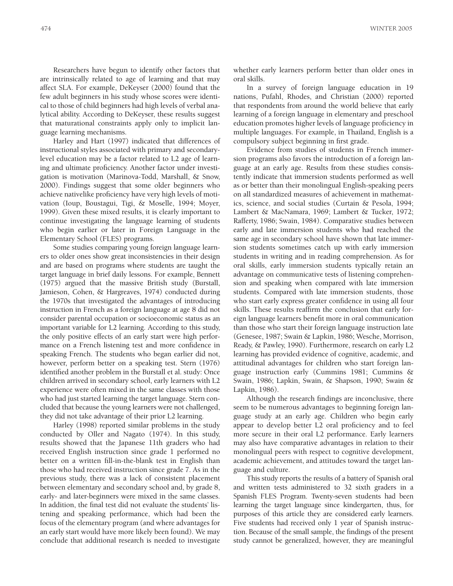Researchers have begun to identify other factors that are intrinsically related to age of learning and that may affect SLA. For example, DeKeyser (2000) found that the few adult beginners in his study whose scores were identical to those of child beginners had high levels of verbal analytical ability. According to DeKeyser, these results suggest that maturational constraints apply only to implicit language learning mechanisms.

Harley and Hart (1997) indicated that differences of instructional styles associated with primary and secondarylevel education may be a factor related to L2 age of learning and ultimate proficiency. Another factor under investigation is motivation (Marinova-Todd, Marshall, & Snow, 2000). Findings suggest that some older beginners who achieve nativelike proficiency have very high levels of motivation (Ioup, Boustagui, Tigi, & Moselle, 1994; Moyer, 1999). Given these mixed results, it is clearly important to continue investigating the language learning of students who begin earlier or later in Foreign Language in the Elementary School (FLES) programs.

Some studies comparing young foreign language learners to older ones show great inconsistencies in their design and are based on programs where students are taught the target language in brief daily lessons. For example, Bennett (1975) argued that the massive British study (Burstall, Jamieson, Cohen, & Hargreaves, 1974) conducted during the 1970s that investigated the advantages of introducing instruction in French as a foreign language at age 8 did not consider parental occupation or socioeconomic status as an important variable for L2 learning. According to this study, the only positive effects of an early start were high performance on a French listening test and more confidence in speaking French. The students who began earlier did not, however, perform better on a speaking test. Stern (1976) identified another problem in the Burstall et al. study: Once children arrived in secondary school, early learners with L2 experience were often mixed in the same classes with those who had just started learning the target language. Stern concluded that because the young learners were not challenged, they did not take advantage of their prior L2 learning.

Harley (1998) reported similar problems in the study conducted by Oller and Nagato (1974). In this study, results showed that the Japanese 11th graders who had received English instruction since grade 1 performed no better on a written fill-in-the-blank test in English than those who had received instruction since grade 7. As in the previous study, there was a lack of consistent placement between elementary and secondary school and, by grade 8, early- and later-beginners were mixed in the same classes. In addition, the final test did not evaluate the students' listening and speaking performance, which had been the focus of the elementary program (and where advantages for an early start would have more likely been found). We may conclude that additional research is needed to investigate

whether early learners perform better than older ones in oral skills.

In a survey of foreign language education in 19 nations, Pufahl, Rhodes, and Christian (2000) reported that respondents from around the world believe that early learning of a foreign language in elementary and preschool education promotes higher levels of language proficiency in multiple languages. For example, in Thailand, English is a compulsory subject beginning in first grade.

Evidence from studies of students in French immersion programs also favors the introduction of a foreign language at an early age. Results from these studies consistently indicate that immersion students performed as well as or better than their monolingual English-speaking peers on all standardized measures of achievement in mathematics, science, and social studies (Curtain & Pesola, 1994; Lambert & MacNamara, 1969; Lambert & Tucker, 1972; Rafferty, 1986; Swain, 1984). Comparative studies between early and late immersion students who had reached the same age in secondary school have shown that late immersion students sometimes catch up with early immersion students in writing and in reading comprehension. As for oral skills, early immersion students typically retain an advantage on communicative tests of listening comprehension and speaking when compared with late immersion students. Compared with late immersion students, those who start early express greater confidence in using all four skills. These results reaffirm the conclusion that early foreign language learners benefit more in oral communication than those who start their foreign language instruction late (Genesee, 1987; Swain & Lapkin, 1986; Wesche, Morrison, Ready, & Pawley, 1990). Furthermore, research on early L2 learning has provided evidence of cognitive, academic, and attitudinal advantages for children who start foreign language instruction early (Cummins 1981; Cummins & Swain, 1986; Lapkin, Swain, & Shapson, 1990; Swain & Lapkin, 1986).

Although the research findings are inconclusive, there seem to be numerous advantages to beginning foreign language study at an early age. Children who begin early appear to develop better L2 oral proficiency and to feel more secure in their oral L2 performance. Early learners may also have comparative advantages in relation to their monolingual peers with respect to cognitive development, academic achievement, and attitudes toward the target language and culture.

This study reports the results of a battery of Spanish oral and written tests administered to 32 sixth graders in a Spanish FLES Program. Twenty-seven students had been learning the target language since kindergarten, thus, for purposes of this article they are considered early learners. Five students had received only 1 year of Spanish instruction. Because of the small sample, the findings of the present study cannot be generalized, however, they are meaningful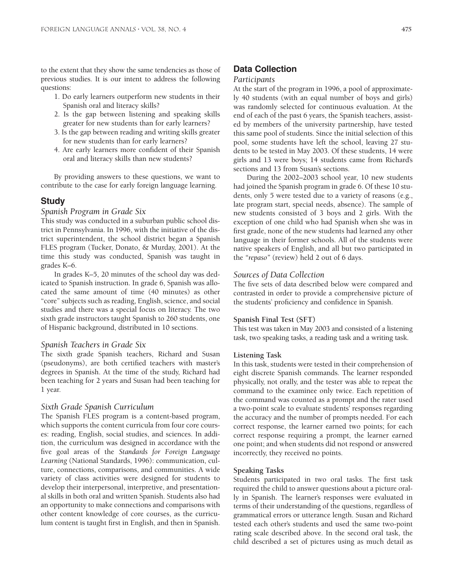to the extent that they show the same tendencies as those of previous studies. It is our intent to address the following questions:

- 1. Do early learners outperform new students in their Spanish oral and literacy skills?
- 2. Is the gap between listening and speaking skills greater for new students than for early learners?
- 3. Is the gap between reading and writing skills greater for new students than for early learners?
- 4. Are early learners more confident of their Spanish oral and literacy skills than new students?

By providing answers to these questions, we want to contribute to the case for early foreign language learning.

## **Study**

## *Spanish Program in Grade Six*

This study was conducted in a suburban public school district in Pennsylvania. In 1996, with the initiative of the district superintendent, the school district began a Spanish FLES program (Tucker, Donato, & Murday, 2001). At the time this study was conducted, Spanish was taught in grades K–6.

In grades K–5, 20 minutes of the school day was dedicated to Spanish instruction. In grade 6, Spanish was allocated the same amount of time (40 minutes) as other "core" subjects such as reading, English, science, and social studies and there was a special focus on literacy. The two sixth grade instructors taught Spanish to 260 students, one of Hispanic background, distributed in 10 sections.

#### *Spanish Teachers in Grade Six*

The sixth grade Spanish teachers, Richard and Susan (pseudonyms), are both certified teachers with master's degrees in Spanish. At the time of the study, Richard had been teaching for 2 years and Susan had been teaching for 1 year.

## *Sixth Grade Spanish Curriculum*

The Spanish FLES program is a content-based program, which supports the content curricula from four core courses: reading, English, social studies, and sciences. In addition, the curriculum was designed in accordance with the five goal areas of the *Standards for Foreign Language Learning* (National Standards, 1996): communication, culture, connections, comparisons, and communities. A wide variety of class activities were designed for students to develop their interpersonal, interpretive, and presentational skills in both oral and written Spanish. Students also had an opportunity to make connections and comparisons with other content knowledge of core courses, as the curriculum content is taught first in English, and then in Spanish.

# **Data Collection**

#### *Participants*

At the start of the program in 1996, a pool of approximately 40 students (with an equal number of boys and girls) was randomly selected for continuous evaluation. At the end of each of the past 6 years, the Spanish teachers, assisted by members of the university partnership, have tested this same pool of students. Since the initial selection of this pool, some students have left the school, leaving 27 students to be tested in May 2003. Of these students, 14 were girls and 13 were boys; 14 students came from Richard's sections and 13 from Susan's sections.

During the 2002–2003 school year, 10 new students had joined the Spanish program in grade 6. Of these 10 students, only 5 were tested due to a variety of reasons (e.g., late program start, special needs, absence). The sample of new students consisted of 3 boys and 2 girls. With the exception of one child who had Spanish when she was in first grade, none of the new students had learned any other language in their former schools. All of the students were native speakers of English, and all but two participated in the *"repaso"* (review) held 2 out of 6 days.

#### *Sources of Data Collection*

The five sets of data described below were compared and contrasted in order to provide a comprehensive picture of the students' proficiency and confidence in Spanish.

#### **Spanish Final Test (SFT)**

This test was taken in May 2003 and consisted of a listening task, two speaking tasks, a reading task and a writing task.

#### **Listening Task**

In this task, students were tested in their comprehension of eight discrete Spanish commands. The learner responded physically, not orally, and the tester was able to repeat the command to the examinee only twice. Each repetition of the command was counted as a prompt and the rater used a two-point scale to evaluate students' responses regarding the accuracy and the number of prompts needed. For each correct response, the learner earned two points; for each correct response requiring a prompt, the learner earned one point; and when students did not respond or answered incorrectly, they received no points.

### **Speaking Tasks**

Students participated in two oral tasks. The first task required the child to answer questions about a picture orally in Spanish. The learner's responses were evaluated in terms of their understanding of the questions, regardless of grammatical errors or utterance length. Susan and Richard tested each other's students and used the same two-point rating scale described above. In the second oral task, the child described a set of pictures using as much detail as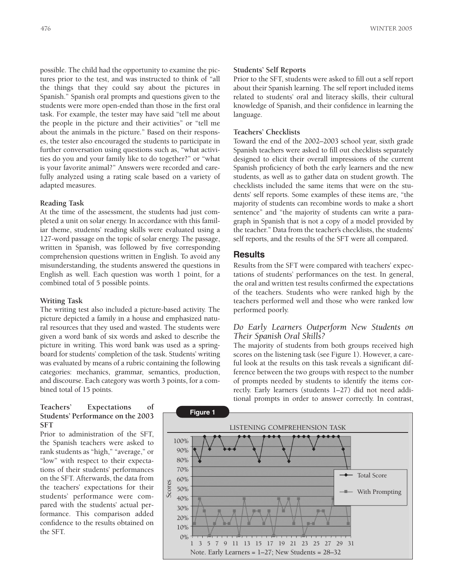possible. The child had the opportunity to examine the pictures prior to the test, and was instructed to think of "all the things that they could say about the pictures in Spanish." Spanish oral prompts and questions given to the students were more open-ended than those in the first oral task. For example, the tester may have said "tell me about the people in the picture and their activities" or "tell me about the animals in the picture." Based on their responses, the tester also encouraged the students to participate in further conversation using questions such as, "what activities do you and your family like to do together?" or "what is your favorite animal?" Answers were recorded and carefully analyzed using a rating scale based on a variety of adapted measures.

#### **Reading Task**

At the time of the assessment, the students had just completed a unit on solar energy. In accordance with this familiar theme, students' reading skills were evaluated using a 127-word passage on the topic of solar energy. The passage, written in Spanish, was followed by five corresponding comprehension questions written in English. To avoid any misunderstanding, the students answered the questions in English as well. Each question was worth 1 point, for a combined total of 5 possible points.

#### **Writing Task**

The writing test also included a picture-based activity. The picture depicted a family in a house and emphasized natural resources that they used and wasted. The students were given a word bank of six words and asked to describe the picture in writing. This word bank was used as a springboard for students' completion of the task. Students' writing was evaluated by means of a rubric containing the following categories: mechanics, grammar, semantics, production, and discourse. Each category was worth 3 points, for a combined total of 15 points.

## **Teachers' Expectations of Students' Performance on the 2003 SFT**

Prior to administration of the SFT, the Spanish teachers were asked to rank students as "high," "average," or "low" with respect to their expectations of their students' performances on the SFT. Afterwards, the data from the teachers' expectations for their students' performance were compared with the students' actual performance. This comparison added confidence to the results obtained on the SFT.

#### **Students' Self Reports**

Prior to the SFT, students were asked to fill out a self report about their Spanish learning. The self report included items related to students' oral and literacy skills, their cultural knowledge of Spanish, and their confidence in learning the language.

#### **Teachers' Checklists**

Toward the end of the 2002–2003 school year, sixth grade Spanish teachers were asked to fill out checklists separately designed to elicit their overall impressions of the current Spanish proficiency of both the early learners and the new students, as well as to gather data on student growth. The checklists included the same items that were on the students' self reports. Some examples of these items are, "the majority of students can recombine words to make a short sentence" and "the majority of students can write a paragraph in Spanish that is not a copy of a model provided by the teacher." Data from the teacher's checklists, the students' self reports, and the results of the SFT were all compared.

## **Results**

Results from the SFT were compared with teachers' expectations of students' performances on the test. In general, the oral and written test results confirmed the expectations of the teachers. Students who were ranked high by the teachers performed well and those who were ranked low performed poorly.

## *Do Early Learners Outperform New Students on Their Spanish Oral Skills?*

The majority of students from both groups received high scores on the listening task (see Figure 1). However, a careful look at the results on this task reveals a significant difference between the two groups with respect to the number of prompts needed by students to identify the items correctly. Early learners (students 1–27) did not need additional prompts in order to answer correctly. In contrast,

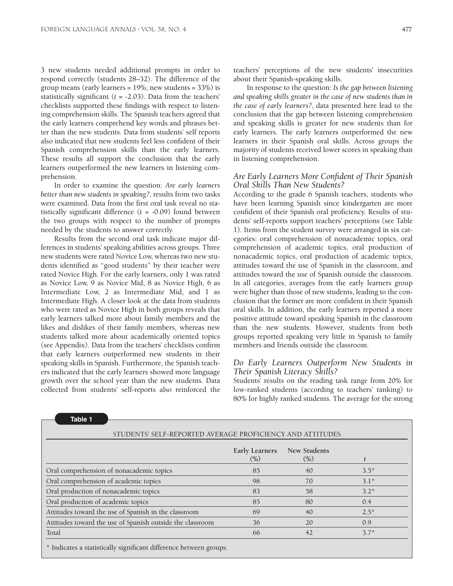3 new students needed additional prompts in order to respond correctly (students 28–32). The difference of the group means (early learners =  $19\%$ ; new students =  $33\%$ ) is statistically significant (*t* = -2.03). Data from the teachers' checklists supported these findings with respect to listening comprehension skills. The Spanish teachers agreed that the early learners comprehend key words and phrases better than the new students. Data from students' self reports also indicated that new students feel less confident of their Spanish comprehension skills than the early learners. These results all support the conclusion that the early learners outperformed the new learners in listening comprehension.

In order to examine the question: *Are early learners better than new students in speaking?*, results from two tasks were examined. Data from the first oral task reveal no statistically significant difference (*t* = -0.09) found between the two groups with respect to the number of prompts needed by the students to answer correctly.

Results from the second oral task indicate major differences in students' speaking abilities across groups. Three new students were rated Novice Low, whereas two new students identified as "good students" by their teacher were rated Novice High. For the early learners, only 1 was rated as Novice Low, 9 as Novice Mid, 8 as Novice High, 6 as Intermediate Low, 2 as Intermediate Mid, and 1 as Intermediate High. A closer look at the data from students who were rated as Novice High in both groups reveals that early learners talked more about family members and the likes and dislikes of their family members, whereas new students talked more about academically oriented topics (see Appendix). Data from the teachers' checklists confirm that early learners outperformed new students in their speaking skills in Spanish. Furthermore, the Spanish teachers indicated that the early learners showed more language growth over the school year than the new students. Data collected from students' self-reports also reinforced the

teachers' perceptions of the new students' insecurities about their Spanish-speaking skills.

In response to the question: *Is the gap between listening and speaking skills greater in the case of new students than in the case of early learners?*, data presented here lead to the conclusion that the gap between listening comprehension and speaking skills is greater for new students than for early learners. The early learners outperformed the new learners in their Spanish oral skills. Across groups the majority of students received lower scores in speaking than in listening comprehension.

## *Are Early Learners More Confident of Their Spanish Oral Skills Than New Students?*

According to the grade 6 Spanish teachers, students who have been learning Spanish since kindergarten are more confident of their Spanish oral proficiency. Results of students' self-reports support teachers' perceptions (see Table 1). Items from the student survey were arranged in six categories: oral comprehension of nonacademic topics, oral comprehension of academic topics, oral production of nonacademic topics, oral production of academic topics, attitudes toward the use of Spanish in the classroom, and attitudes toward the use of Spanish outside the classroom. In all categories, averages from the early learners group were higher than those of new students, leading to the conclusion that the former are more confident in their Spanish oral skills. In addition, the early learners reported a more positive attitude toward speaking Spanish in the classroom than the new students. However, students from both groups reported speaking very little in Spanish to family members and friends outside the classroom.

## *Do Early Learners Outperform New Students in Their Spanish Literacy Skills?*

Students' results on the reading task range from 20% for low-ranked students (according to teachers' ranking) to 80% for highly ranked students. The average for the strong

| STUDENTS' SELF-REPORTED AVERAGE PROFICIENCY AND ATTITUDES |                        |                                |        |
|-----------------------------------------------------------|------------------------|--------------------------------|--------|
|                                                           | Early Learners<br>(% ) | <b>New Students</b><br>$(\% )$ |        |
| Oral comprehension of nonacademic topics                  | 85                     | 40                             | $3.5*$ |
| Oral comprehension of academic topics                     | 98                     | 70                             | $3.1*$ |
| Oral production of nonacademic topics                     | 83                     | 58                             | $3.2*$ |
| Oral production of academic topics                        | 85                     | 80                             | 0.4    |
| Attitudes toward the use of Spanish in the classroom      | 69                     | 40                             | $2.5*$ |
| Attitudes toward the use of Spanish outside the classroom | 36                     | 20                             | 0.9    |
| Total                                                     | 66                     | 42                             | $3.7*$ |

\* Indicates a statistically significant difference between groups.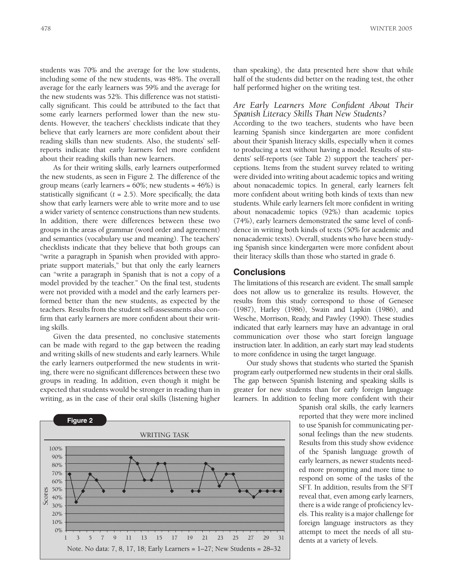students was 70% and the average for the low students, including some of the new students, was 48%. The overall average for the early learners was 59% and the average for the new students was 52%. This difference was not statistically significant. This could be attributed to the fact that some early learners performed lower than the new students. However, the teachers' checklists indicate that they believe that early learners are more confident about their reading skills than new students. Also, the students' selfreports indicate that early learners feel more confident about their reading skills than new learners.

As for their writing skills, early learners outperformed the new students, as seen in Figure 2. The difference of the group means (early learners =  $60\%$ ; new students =  $46\%$ ) is statistically significant  $(t = 2.5)$ . More specifically, the data show that early learners were able to write more and to use a wider variety of sentence constructions than new students. In addition, there were differences between these two groups in the areas of grammar (word order and agreement) and semantics (vocabulary use and meaning). The teachers' checklists indicate that they believe that both groups can "write a paragraph in Spanish when provided with appropriate support materials," but that only the early learners can "write a paragraph in Spanish that is not a copy of a model provided by the teacher." On the final test, students were not provided with a model and the early learners performed better than the new students, as expected by the teachers. Results from the student self-assessments also confirm that early learners are more confident about their writing skills.

Given the data presented, no conclusive statements can be made with regard to the gap between the reading and writing skills of new students and early learners. While the early learners outperformed the new students in writing, there were no significant differences between these two groups in reading. In addition, even though it might be expected that students would be stronger in reading than in writing, as in the case of their oral skills (listening higher



than speaking), the data presented here show that while half of the students did better on the reading test, the other half performed higher on the writing test.

## *Are Early Learners More Confident About Their Spanish Literacy Skills Than New Students?*

According to the two teachers, students who have been learning Spanish since kindergarten are more confident about their Spanish literacy skills, especially when it comes to producing a text without having a model. Results of students' self-reports (see Table 2) support the teachers' perceptions. Items from the student survey related to writing were divided into writing about academic topics and writing about nonacademic topics. In general, early learners felt more confident about writing both kinds of texts than new students. While early learners felt more confident in writing about nonacademic topics (92%) than academic topics (74%), early learners demonstrated the same level of confidence in writing both kinds of texts (50% for academic and nonacademic texts). Overall, students who have been studying Spanish since kindergarten were more confident about their literacy skills than those who started in grade 6.

# **Conclusions**

The limitations of this research are evident. The small sample does not allow us to generalize its results. However, the results from this study correspond to those of Genesee (1987), Harley (1986), Swain and Lapkin (1986), and Wesche, Morrison, Ready, and Pawley (1990). These studies indicated that early learners may have an advantage in oral communication over those who start foreign language instruction later. In addition, an early start may lead students to more confidence in using the target language.

Our study shows that students who started the Spanish program early outperformed new students in their oral skills. The gap between Spanish listening and speaking skills is greater for new students than for early foreign language learners. In addition to feeling more confident with their

> Spanish oral skills, the early learners reported that they were more inclined to use Spanish for communicating personal feelings than the new students. Results from this study show evidence of the Spanish language growth of early learners, as newer students needed more prompting and more time to respond on some of the tasks of the SFT. In addition, results from the SFT reveal that, even among early learners, there is a wide range of proficiency levels. This reality is a major challenge for foreign language instructors as they attempt to meet the needs of all students at a variety of levels.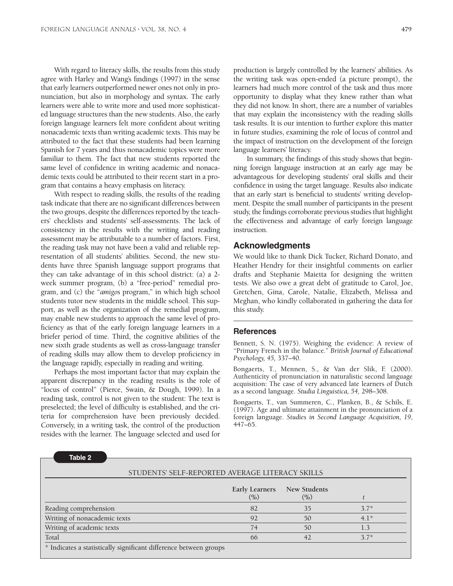With regard to literacy skills, the results from this study agree with Harley and Wang's findings (1997) in the sense that early learners outperformed newer ones not only in pronunciation, but also in morphology and syntax. The early learners were able to write more and used more sophisticated language structures than the new students. Also, the early foreign language learners felt more confident about writing nonacademic texts than writing academic texts. This may be attributed to the fact that these students had been learning Spanish for 7 years and thus nonacademic topics were more familiar to them. The fact that new students reported the same level of confidence in writing academic and nonacademic texts could be attributed to their recent start in a program that contains a heavy emphasis on literacy.

With respect to reading skills, the results of the reading task indicate that there are no significant differences between the two groups, despite the differences reported by the teachers' checklists and students' self-assessments. The lack of consistency in the results with the writing and reading assessment may be attributable to a number of factors. First, the reading task may not have been a valid and reliable representation of all students' abilities. Second, the new students have three Spanish language support programs that they can take advantage of in this school district: (a) a 2 week summer program, (b) a "free-period" remedial program, and (c) the "*amigos* program," in which high school students tutor new students in the middle school. This support, as well as the organization of the remedial program, may enable new students to approach the same level of proficiency as that of the early foreign language learners in a briefer period of time. Third, the cognitive abilities of the new sixth grade students as well as cross-language transfer of reading skills may allow them to develop proficiency in the language rapidly, especially in reading and writing.

Perhaps the most important factor that may explain the apparent discrepancy in the reading results is the role of "locus of control" (Pierce, Swain, & Dough, 1999). In a reading task, control is not given to the student: The text is preselected; the level of difficulty is established, and the criteria for comprehension have been previously decided. Conversely, in a writing task, the control of the production resides with the learner. The language selected and used for

production is largely controlled by the learners' abilities. As the writing task was open-ended (a picture prompt), the learners had much more control of the task and thus more opportunity to display what they knew rather than what they did not know. In short, there are a number of variables that may explain the inconsistency with the reading skills task results. It is our intention to further explore this matter in future studies, examining the role of locus of control and the impact of instruction on the development of the foreign language learners' literacy.

In summary, the findings of this study shows that beginning foreign language instruction at an early age may be advantageous for developing students' oral skills and their confidence in using the target language. Results also indicate that an early start is beneficial to students' writing development. Despite the small number of participants in the present study, the findings corroborate previous studies that highlight the effectiveness and advantage of early foreign language instruction.

## **Acknowledgments**

We would like to thank Dick Tucker, Richard Donato, and Heather Hendry for their insightful comments on earlier drafts and Stephanie Maietta for designing the written tests. We also owe a great debt of gratitude to Carol, Joe, Gretchen, Gina, Carole, Natalie, Elizabeth, Melissa and Meghan, who kindly collaborated in gathering the data for this study.

#### **References**

Bennett, S. N. (1975). Weighing the evidence: A review of "Primary French in the balance." *British Journal of Educational Psychology, 45,* 337–40.

Bongaerts, T., Mennen, S., & Van der Slik, F. (2000). Authenticity of pronunciation in naturalistic second language acquisition: The case of very advanced late learners of Dutch as a second language. *Studia Linguistica, 54,* 298–308.

Bongaerts, T., van Summeren, C., Planken, B., & Schils, E. (1997). Age and ultimate attainment in the pronunciation of a foreign language. *Studies in Second Language Acquisition, 19*, 447–65.

| STUDENTS' SELF-REPORTED AVERAGE LITERACY SKILLS |                        |                             |        |  |
|-------------------------------------------------|------------------------|-----------------------------|--------|--|
|                                                 | Early Learners<br>(% ) | <b>New Students</b><br>(% ) |        |  |
| Reading comprehension                           | 82                     | 35                          | $3.7*$ |  |
| Writing of nonacademic texts                    | 92                     | 50                          | $4.1*$ |  |
| Writing of academic texts                       | 74                     | 50                          | 1.3    |  |
| Total                                           | 66                     | 42                          | $3.7*$ |  |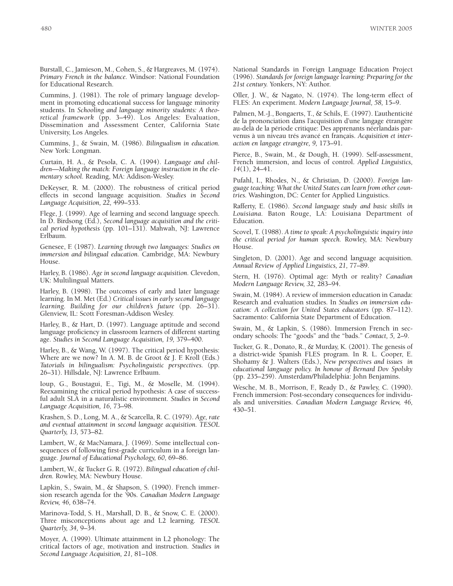Burstall, C., Jamieson, M., Cohen, S., & Hargreaves, M. (1974). *Primary French in the balance.* Windsor: National Foundation for Educational Research.

Cummins, J. (1981). The role of primary language development in promoting educational success for language minority students. In *Schooling and language minority students: A theoretical framework* (pp. 3–49). Los Angeles: Evaluation, Dissemination and Assessment Center, California State University, Los Angeles.

Cummins, J., & Swain, M. (1986). *Bilingualism in education.* New York: Longman.

Curtain, H. A., & Pesola, C. A. (1994). *Language and children—Making the match: Foreign language instruction in the elementary school.* Reading, MA: Addison-Wesley.

DeKeyser, R. M. (2000). The robustness of critical period effects in second language acquisition. *Studies in Second Language Acquisition, 22,* 499–533.

Flege, J. (1999). Age of learning and second language speech. In D. Birdsong (Ed.), *Second language acquisition and the critical period hypothesis* (pp. 101–131). Mahwah, NJ: Lawrence Erlbaum.

Genesee, F. (1987). *Learning through two languages: Studies on immersion and bilingual education.* Cambridge, MA: Newbury House.

Harley, B. (1986). *Age in second language acquisition.* Clevedon, UK: Multilingual Matters.

Harley, B. (1998). The outcomes of early and later language learning. In M. Met (Ed.) *Critical issues in early second language learning. Building for our children's future* (pp. 26–31). Glenview, IL: Scott Foresman-Addison Wesley.

Harley, B., & Hart, D. (1997). Language aptitude and second language proficiency in classroom learners of different starting age. *Studies in Second Language Acquisition, 19,* 379–400.

Harley, B., & Wang, W. (1997). The critical period hypothesis: Where are we now? In A. M. B. de Groot & J. F. Kroll (Eds.) *Tutorials in bilingualism: Psycholinguistic perspectives.* (pp. 26–31)*.* Hillsdale, NJ: Lawrence Erlbaum.

Ioup, G., Boustagui, E., Tigi, M., & Moselle, M. (1994). Reexamining the critical period hypothesis: A case of successful adult SLA in a naturalistic environment. *Studies in Second Language Acquisition, 16,* 73–98.

Krashen, S. D., Long, M. A., & Scarcella, R. C. (1979). *Age, rate and eventual attainment in second language acquisition. TESOL Quarterly, 13,* 573–82.

Lambert, W., & MacNamara, J. (1969). Some intellectual consequences of following first-grade curriculum in a foreign language. *Journal of Educational Psychology, 60,* 69–86.

Lambert, W., & Tucker G. R. (1972). *Bilingual education of children.* Rowley, MA: Newbury House.

Lapkin, S., Swain, M., & Shapson, S. (1990). French immersion research agenda for the '90s. *Canadian Modern Language Review, 46,* 638–74.

Marinova-Todd, S. H., Marshall, D. B., & Snow, C. E. (2000). Three misconceptions about age and L2 learning. *TESOL Quarterly, 34,* 9–34.

Moyer, A. (1999). Ultimate attainment in L2 phonology: The critical factors of age, motivation and instruction. *Studies in Second Language Acquisition, 21,* 81–108.

National Standards in Foreign Language Education Project (1996). *Standards for foreign language learning: Preparing for the 21st century.* Yonkers, NY: Author.

Oller, J. W., & Nagato, N. (1974). The long-term effect of FLES: An experiment. *Modern Language Journal, 58,* 15–9.

Palmen, M.-J., Bongaerts, T., & Schils, E. (1997). L'authenticité de la prononciation dans l'acquisition d'une langage étrangère au-delà de la période critique: Des apprenants néerlandais parvenus à un niveau trés avancé en français. *Acquisition et interaction en langage etrangère, 9,* 173–91.

Pierce, B., Swain, M., & Dough, H. (1999). Self-assessment, French immersion, and locus of control. *Applied Linguistics, 14*(1), 24–41.

Pufahl, I., Rhodes, N., & Christian, D. (2000). *Foreign language teaching: What the United States can learn from other countries.* Washington, DC: Center for Applied Linguistics.

Rafferty, E. (1986). *Second language study and basic skills in Louisiana.* Baton Rouge, LA: Louisiana Department of Education.

Scovel, T. (1988). *A time to speak: A psycholinguistic inquiry into the critical period for human speech.* Rowley, MA: Newbury House.

Singleton, D. (2001). Age and second language acquisition. *Annual Review of Applied Linguistics, 21,* 77–89.

Stern, H. (1976). Optimal age: Myth or reality? *Canadian Modern Language Review, 32,* 283–94.

Swain, M. (1984). A review of immersion education in Canada: Research and evaluation studies. In *Studies on immersion education: A collection for United States educators* (pp. 87–112). Sacramento: California State Department of Education.

Swain, M., & Lapkin, S. (1986). Immersion French in secondary schools: The "goods" and the "bads." *Contact, 5,* 2–9.

Tucker, G. R., Donato, R., & Murday, K. (2001). The genesis of a district-wide Spanish FLES program. In R. L. Cooper, E. Shohamy & J. Walters (Eds.), *New perspectives and issues in educational language policy. In honour of Bernard Dov Spolsky* (pp. 235–259). Amsterdam/Philadelphia: John Benjamins.

Wesche, M. B., Morrison, F., Ready D., & Pawley, C. (1990). French immersion: Post-secondary consequences for individuals and universities. *Canadian Modern Language Review, 46,* 430–51.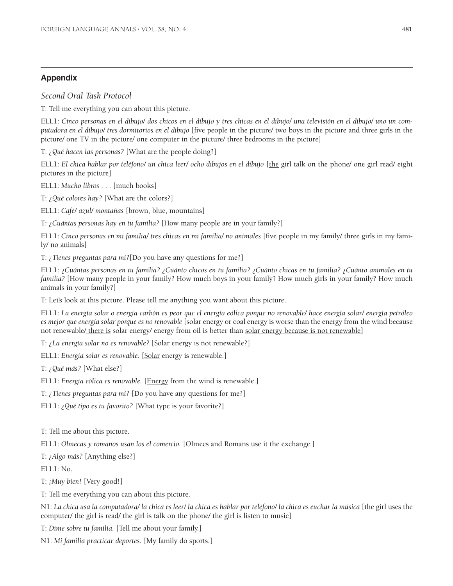# **Appendix**

*Second Oral Task Protocol*

T: Tell me everything you can about this picture.

ELL1: *Cinco personas en el dibujo/ dos chicos en el dibujo y tres chicas en el dibujo/ una televisión en el dibujo/ uno un computadora en el dibujo/ tres dormitorios en el dibujo* [five people in the picture/ two boys in the picture and three girls in the picture/ one TV in the picture/ one computer in the picture/ three bedrooms in the picture]

T: *¿Qué hacen las personas?* [What are the people doing?]

ELL1: *El chica hablar por teléfono/ un chica leer/ ocho dibujos en el dibujo* [the girl talk on the phone/ one girl read/ eight pictures in the picture]

ELL1: *Mucho libros* . . . [much books]

T: *¿Qué colores hay?* [What are the colors?]

ELL1: *Café/ azul/ montañas* [brown, blue, mountains]

T: *¿Cuántas personas hay en tu familia?* [How many people are in your family?]

ELL1: *Cinco personas en mi familia/ tres chicas en mi familia/ no animales* [five people in my family/ three girls in my family/ no animals]

T: *¿Tienes preguntas para mí?*[Do you have any questions for me?]

ELL1: *¿Cuántas personas en tu familia? ¿Cuánto chicos en tu familia? ¿Cuánto chicas en tu familia? ¿Cuánto animales en tu familia?* [How many people in your family? How much boys in your family? How much girls in your family? How much animals in your family?]

T: Let's look at this picture. Please tell me anything you want about this picture.

ELL1: *La energía solar o energía carbón es peor que el energía eólica porque no renovable/ hace energía solar/ energía petróleo es mejor que energía solar porque es no renovable* [solar energy or coal energy is worse than the energy from the wind because not renewable/ there is solar energy/ energy from oil is better than solar energy because is not renewable]

T: *¿La energía solar no es renovable?* [Solar energy is not renewable?]

ELL1: *Energía solar es renovable.* [Solar energy is renewable.]

T: *¿Qué más?* [What else?]

ELL1: *Energía eólica es renovable.* [Energy from the wind is renewable.]

T: *¿Tienes preguntas para mí?* [Do you have any questions for me?]

ELL1: *¿Qué tipo es tu favorito?* [What type is your favorite?]

T: Tell me about this picture.

ELL1: *Olmecas y romanos usan los el comercio.* [Olmecs and Romans use it the exchange.]

T: *¿Algo más?* [Anything else?]

ELL1: No.

T: *¡Muy bien!* [Very good!]

T: Tell me everything you can about this picture.

N1: *La chica usa la computadora/ la chica es leer/ la chica es hablar por teléfono/ la chica es euchar la música* [the girl uses the computer/ the girl is read/ the girl is talk on the phone/ the girl is listen to music]

T: *Dime sobre tu familia.* [Tell me about your family.]

N1: *Mi familia practicar deportes.* [My family do sports.]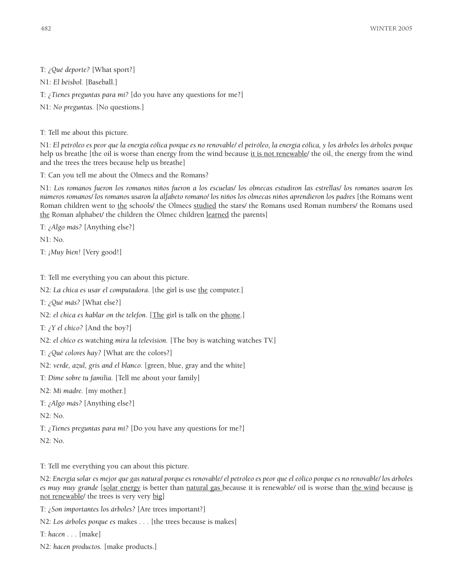- T: *¿Qué deporte?* [What sport?]
- N1: *El béisbol.* [Baseball.]
- T: *¿Tienes preguntas para mí?* [do you have any questions for me?]
- N1: *No preguntas.* [No questions.]

T: Tell me about this picture.

N1: *El petróleo es peor que la energía eólica porque es no renovable/ el petróleo, la energía eólica, y los árboles los árboles porque* help us breathe [the oil is worse than energy from the wind because it is not renewable/ the oil, the energy from the wind and the trees the trees because help us breathe]

T: Can you tell me about the Olmecs and the Romans?

N1: *Los romanos fueron los romanos niños fueron a los escuelas/ los olmecas estudiron las estrellas/ los romanos usaron los números romanos/ los romanos usaron la alfabeto romano/ los niños los olmecas niños aprendieron los padres* [the Romans went Roman children went to the schools/ the Olmecs studied the stars/ the Romans used Roman numbers/ the Romans used the Roman alphabet/ the children the Olmec children learned the parents]

T: *¿Algo más?* [Anything else?]

N1: No.

T: *¡Muy bien!* [Very good!]

T: Tell me everything you can about this picture.

N2: *La chica es usar el computadora*. [the girl is use the computer.]

T: *¿Qué más?* [What else?]

N2: *el chica es hablar on the telefon*. [The girl is talk on the phone.]

T: *¿Y el chico?* [And the boy?]

N2: *el chico es* watching *mira la television.* [The boy is watching watches TV.]

T: *¿Qué colores hay?* [What are the colors?]

N2: *verde, azul, gris and el blanco.* [green, blue, gray and the white]

T: *Dime sobre tu familia.* [Tell me about your family]

N2: *Mi madre.* [my mother.]

T: *¿Algo más?* [Anything else?]

N2: No.

T: *¿Tienes preguntas para mí?* [Do you have any questions for me?]

N2: No.

T: Tell me everything you can about this picture.

N2: *Energía solar es mejor que gas natural porque es renovable/ el petróleo es peor que el eólico porque es no renovable/ los árboles es muy muy grande* [solar energy is better than natural gas because it is renewable/ oil is worse than the wind because is not renewable/ the trees is very very big]

T: *¿Son importantes los árboles?* [Are trees important?]

N2: *Los árboles porque es* makes . . . [the trees because is makes]

T: *hacen* . . . [make]

N2: *hacen productos.* [make products.]